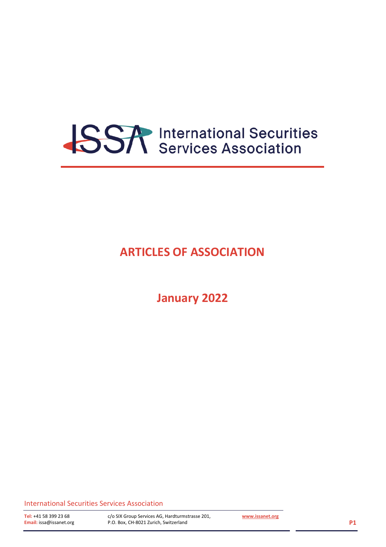

### **ARTICLES OF ASSOCIATION**

**January 2022**

International Securities Services Association

c/o SIX Group Services AG, Hardturmstrasse 201, P.O. Box, CH-8021 Zurich, Switzerland

**[www.issanet.org](http://www.issanet.org/)**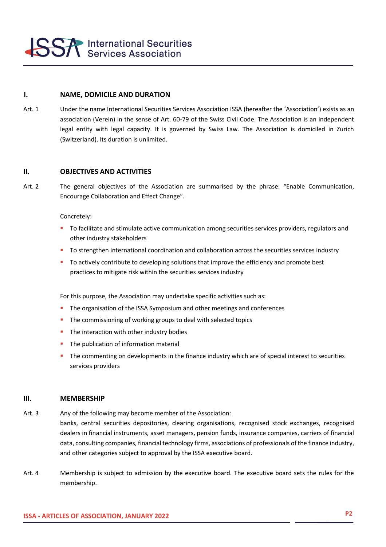

#### **I. NAME, DOMICILE AND DURATION**

Art. 1 Under the name International Securities Services Association ISSA (hereafter the 'Association') exists as an association (Verein) in the sense of Art. 60-79 of the Swiss Civil Code. The Association is an independent legal entity with legal capacity. It is governed by Swiss Law. The Association is domiciled in Zurich (Switzerland). Its duration is unlimited.

#### **II. OBJECTIVES AND ACTIVITIES**

Art. 2 The general objectives of the Association are summarised by the phrase: "Enable Communication, Encourage Collaboration and Effect Change".

Concretely:

- To facilitate and stimulate active communication among securities services providers, regulators and other industry stakeholders
- To strengthen international coordination and collaboration across the securities services industry
- To actively contribute to developing solutions that improve the efficiency and promote best practices to mitigate risk within the securities services industry

For this purpose, the Association may undertake specific activities such as:

- **•** The organisation of the ISSA Symposium and other meetings and conferences
- **.** The commissioning of working groups to deal with selected topics
- The interaction with other industry bodies
- **·** The publication of information material
- The commenting on developments in the finance industry which are of special interest to securities services providers

#### **I.III. MEMBERSHIP**

Art. 3 Any of the following may become member of the Association:

banks, central securities depositories, clearing organisations, recognised stock exchanges, recognised dealers in financial instruments, asset managers, pension funds, insurance companies, carriers of financial data, consulting companies, financial technology firms, associations of professionals of the finance industry, and other categories subject to approval by the ISSA executive board.

Art. 4 Membership is subject to admission by the executive board. The executive board sets the rules for the membership.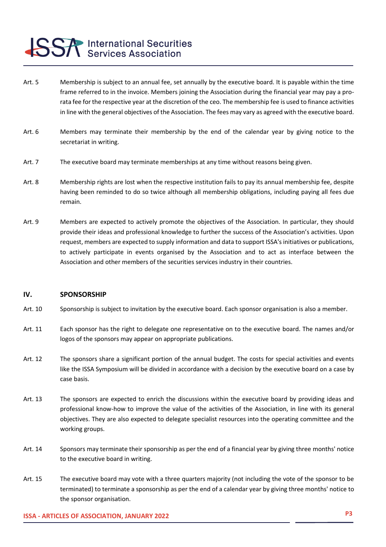### **SSA** International Securities

- Art. 5 Membership is subject to an annual fee, set annually by the executive board. It is payable within the time frame referred to in the invoice. Members joining the Association during the financial year may pay a prorata fee for the respective year at the discretion of the ceo. The membership fee is used to finance activities in line with the general objectives of the Association. The fees may vary as agreed with the executive board.
- Art. 6 Members may terminate their membership by the end of the calendar year by giving notice to the secretariat in writing.
- Art. 7 The executive board may terminate memberships at any time without reasons being given.
- Art. 8 Membership rights are lost when the respective institution fails to pay its annual membership fee, despite having been reminded to do so twice although all membership obligations, including paying all fees due remain.
- Art. 9 Members are expected to actively promote the objectives of the Association. In particular, they should provide their ideas and professional knowledge to further the success of the Association's activities. Upon request, members are expected to supply information and data to support ISSA's initiatives or publications, to actively participate in events organised by the Association and to act as interface between the Association and other members of the securities services industry in their countries.

#### IV. **SPONSORSHIP**

- Art. 10 Sponsorship is subject to invitation by the executive board. Each sponsor organisation is also a member.
- Art. 11 Each sponsor has the right to delegate one representative on to the executive board. The names and/or logos of the sponsors may appear on appropriate publications.
- Art. 12 The sponsors share a significant portion of the annual budget. The costs for special activities and events like the ISSA Symposium will be divided in accordance with a decision by the executive board on a case by case basis.
- Art. 13 The sponsors are expected to enrich the discussions within the executive board by providing ideas and professional know-how to improve the value of the activities of the Association, in line with its general objectives. They are also expected to delegate specialist resources into the operating committee and the working groups.
- Art. 14 Sponsors may terminate their sponsorship as per the end of a financial year by giving three months' notice to the executive board in writing.
- Art. 15 The executive board may vote with a three quarters majority (not including the vote of the sponsor to be terminated) to terminate a sponsorship as per the end of a calendar year by giving three months' notice to the sponsor organisation.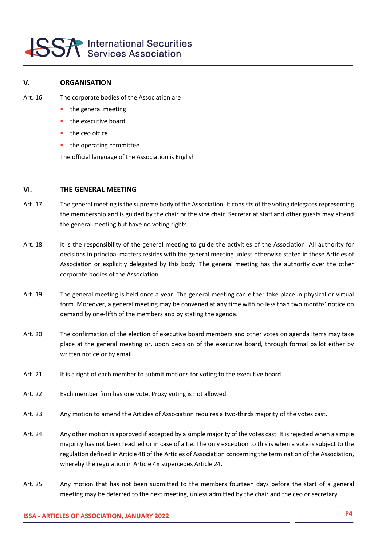# **SSA** International Securities

#### **III.V. ORGANISATION**

- Art. 16 The corporate bodies of the Association are
	- the general meeting
	- the executive board
	- the ceo office
	- the operating committee

The official language of the Association is English.

#### **VI. THE GENERAL MEETING**

- Art. 17 The general meeting is the supreme body of the Association. It consists of the voting delegates representing the membership and is guided by the chair or the vice chair. Secretariat staff and other guests may attend the general meeting but have no voting rights.
- Art. 18 It is the responsibility of the general meeting to guide the activities of the Association. All authority for decisions in principal matters resides with the general meeting unless otherwise stated in these Articles of Association or explicitly delegated by this body. The general meeting has the authority over the other corporate bodies of the Association.
- Art. 19 The general meeting is held once a year. The general meeting can either take place in physical or virtual form. Moreover, a general meeting may be convened at any time with no less than two months' notice on demand by one-fifth of the members and by stating the agenda.
- Art. 20 The confirmation of the election of executive board members and other votes on agenda items may take place at the general meeting or, upon decision of the executive board, through formal ballot either by written notice or by email.
- Art. 21 It is a right of each member to submit motions for voting to the executive board.
- Art. 22 Each member firm has one vote. Proxy voting is not allowed.
- Art. 23 Any motion to amend the Articles of Association requires a two-thirds majority of the votes cast.
- Art. 24 Any other motion is approved if accepted by a simple majority of the votes cast. It is rejected when a simple majority has not been reached or in case of a tie. The only exception to this is when a vote is subject to the regulation defined in Article 48 of the Articles of Association concerning the termination of the Association, whereby the regulation in Article 48 supercedes Article 24.
- Art. 25 Any motion that has not been submitted to the members fourteen days before the start of a general meeting may be deferred to the next meeting, unless admitted by the chair and the ceo or secretary.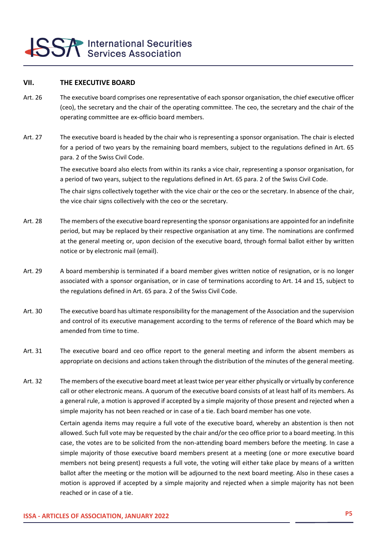#### **VII. THE EXECUTIVE BOARD**

- Art. 26 The executive board comprises one representative of each sponsor organisation, the chief executive officer (ceo), the secretary and the chair of the operating committee. The ceo, the secretary and the chair of the operating committee are ex-officio board members.
- Art. 27 The executive board is headed by the chair who is representing a sponsor organisation. The chair is elected for a period of two years by the remaining board members, subject to the regulations defined in Art. 65 para. 2 of the Swiss Civil Code.

The executive board also elects from within its ranks a vice chair, representing a sponsor organisation, for a period of two years, subject to the regulations defined in Art. 65 para. 2 of the Swiss Civil Code.

The chair signs collectively together with the vice chair or the ceo or the secretary. In absence of the chair, the vice chair signs collectively with the ceo or the secretary.

- Art. 28 The members of the executive board representing the sponsor organisations are appointed for an indefinite period, but may be replaced by their respective organisation at any time. The nominations are confirmed at the general meeting or, upon decision of the executive board, through formal ballot either by written notice or by electronic mail (email).
- Art. 29 A board membership is terminated if a board member gives written notice of resignation, or is no longer associated with a sponsor organisation, or in case of terminations according to Art. 14 and 15, subject to the regulations defined in Art. 65 para. 2 of the Swiss Civil Code.
- Art. 30 The executive board has ultimate responsibility for the management of the Association and the supervision and control of its executive management according to the terms of reference of the Board which may be amended from time to time.
- Art. 31 The executive board and ceo office report to the general meeting and inform the absent members as appropriate on decisions and actions taken through the distribution of the minutes of the general meeting.
- Art. 32 The members of the executive board meet at least twice per year either physically or virtually by conference call or other electronic means. A quorum of the executive board consists of at least half of its members. As a general rule, a motion is approved if accepted by a simple majority of those present and rejected when a simple majority has not been reached or in case of a tie. Each board member has one vote.

Certain agenda items may require a full vote of the executive board, whereby an abstention is then not allowed. Such full vote may be requested by the chair and/or the ceo office prior to a board meeting. In this case, the votes are to be solicited from the non-attending board members before the meeting. In case a simple majority of those executive board members present at a meeting (one or more executive board members not being present) requests a full vote, the voting will either take place by means of a written ballot after the meeting or the motion will be adjourned to the next board meeting. Also in these cases a motion is approved if accepted by a simple majority and rejected when a simple majority has not been reached or in case of a tie.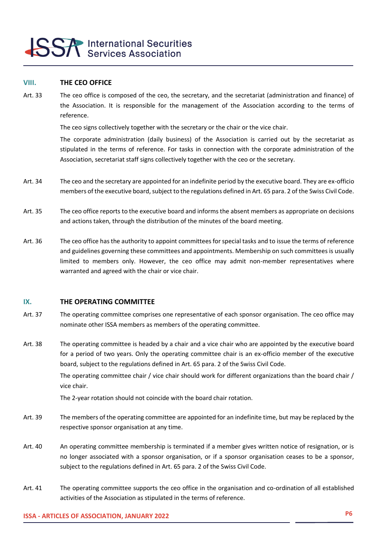# **SSA** International Securities

#### **VIII. THE CEO OFFICE**

Art. 33 The ceo office is composed of the ceo, the secretary, and the secretariat (administration and finance) of the Association. It is responsible for the management of the Association according to the terms of reference.

The ceo signs collectively together with the secretary or the chair or the vice chair.

The corporate administration (daily business) of the Association is carried out by the secretariat as stipulated in the terms of reference. For tasks in connection with the corporate administration of the Association, secretariat staff signs collectively together with the ceo or the secretary.

- Art. 34 The ceo and the secretary are appointed for an indefinite period by the executive board. They are ex-officio members of the executive board, subject to the regulations defined in Art. 65 para. 2 of the Swiss Civil Code.
- Art. 35 The ceo office reports to the executive board and informs the absent members as appropriate on decisions and actions taken, through the distribution of the minutes of the board meeting.
- Art. 36 The ceo office has the authority to appoint committees for special tasks and to issue the terms of reference and guidelines governing these committees and appointments. Membership on such committees is usually limited to members only. However, the ceo office may admit non-member representatives where warranted and agreed with the chair or vice chair.

#### **IX. THE OPERATING COMMITTEE**

- Art. 37 The operating committee comprises one representative of each sponsor organisation. The ceo office may nominate other ISSA members as members of the operating committee.
- Art. 38 The operating committee is headed by a chair and a vice chair who are appointed by the executive board for a period of two years. Only the operating committee chair is an ex-officio member of the executive board, subject to the regulations defined in Art. 65 para. 2 of the Swiss Civil Code.

The operating committee chair / vice chair should work for different organizations than the board chair / vice chair.

The 2-year rotation should not coincide with the board chair rotation.

- Art. 39 The members of the operating committee are appointed for an indefinite time, but may be replaced by the respective sponsor organisation at any time.
- Art. 40 An operating committee membership is terminated if a member gives written notice of resignation, or is no longer associated with a sponsor organisation, or if a sponsor organisation ceases to be a sponsor, subject to the regulations defined in Art. 65 para. 2 of the Swiss Civil Code.
- Art. 41 The operating committee supports the ceo office in the organisation and co-ordination of all established activities of the Association as stipulated in the terms of reference.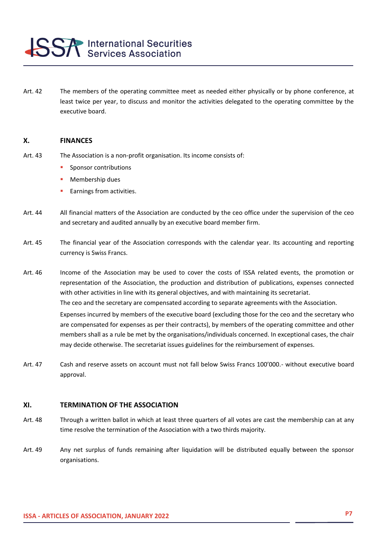

Art. 42 The members of the operating committee meet as needed either physically or by phone conference, at least twice per year, to discuss and monitor the activities delegated to the operating committee by the executive board.

#### **X. FINANCES**

- Art. 43 The Association is a non-profit organisation. Its income consists of:
	- **•** Sponsor contributions
	- Membership dues
	- Earnings from activities.
- Art. 44 All financial matters of the Association are conducted by the ceo office under the supervision of the ceo and secretary and audited annually by an executive board member firm.
- Art. 45 The financial year of the Association corresponds with the calendar year. Its accounting and reporting currency is Swiss Francs.
- Art. 46 Income of the Association may be used to cover the costs of ISSA related events, the promotion or representation of the Association, the production and distribution of publications, expenses connected with other activities in line with its general objectives, and with maintaining its secretariat. The ceo and the secretary are compensated according to separate agreements with the Association. Expenses incurred by members of the executive board (excluding those for the ceo and the secretary who are compensated for expenses as per their contracts), by members of the operating committee and other members shall as a rule be met by the organisations/individuals concerned. In exceptional cases, the chair may decide otherwise. The secretariat issues guidelines for the reimbursement of expenses.
- Art. 47 Cash and reserve assets on account must not fall below Swiss Francs 100'000.- without executive board approval.

#### **XI. TERMINATION OF THE ASSOCIATION**

- Art. 48 Through a written ballot in which at least three quarters of all votes are cast the membership can at any time resolve the termination of the Association with a two thirds majority.
- Art. 49 Any net surplus of funds remaining after liquidation will be distributed equally between the sponsor organisations.